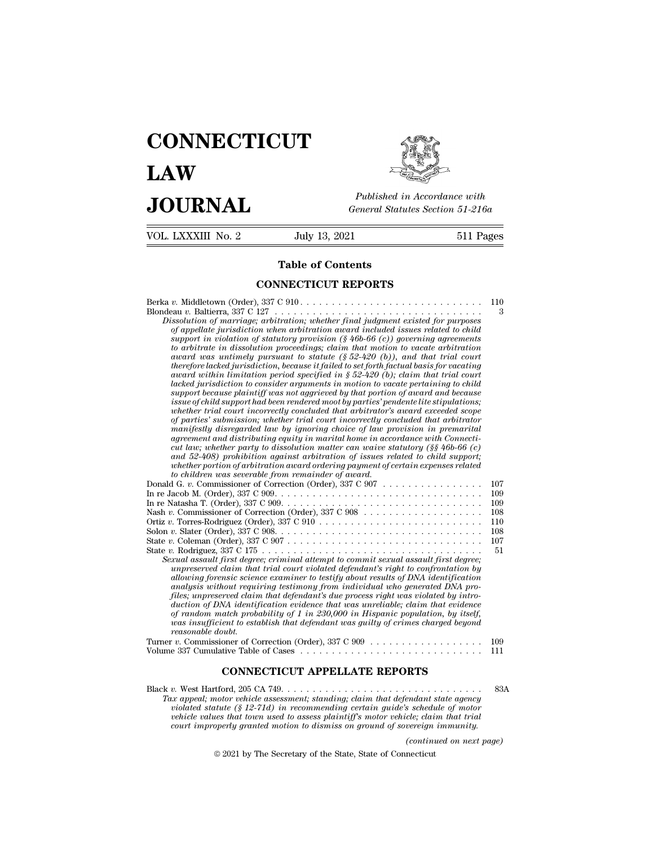# **CONNECTICUT LAW PUBLICE CONNECTICUT**<br> **Published in Accordance with**<br> **JOURNAL** *General Statutes Section 51-216a*<br> **Published in Accordance with**  $\begin{array}{cc}\n\textbf{LAW} & \overbrace{\text{Fubble} \text{m} \text{m}}\n\end{array}$ <br>  $\begin{array}{cc}\n\textbf{JOL RNAL} & \text{Published in According to the General Statistics Section 51-216a} \\
\hline\n\text{VOL LXXXIII No. 2} & \text{July 13, 2021} & \text{511 Pages}\n\end{array}$



Published in A.<br>
General Statutes<br> **Table of Contents<br>
INECTICUT REPORTS** 

| VOL. LXXXIII No. 2 | July 13, 2021                                                                                                                                                                                                                                                                                                                                                                                                                                                                                                                                                                                                                                                                                                                                                                                                                                                                                                                                                                                                                                                                                                                                                                                                                                                                                                                                                                                                                                                                                                                                                | 511 Pages                                                         |
|--------------------|--------------------------------------------------------------------------------------------------------------------------------------------------------------------------------------------------------------------------------------------------------------------------------------------------------------------------------------------------------------------------------------------------------------------------------------------------------------------------------------------------------------------------------------------------------------------------------------------------------------------------------------------------------------------------------------------------------------------------------------------------------------------------------------------------------------------------------------------------------------------------------------------------------------------------------------------------------------------------------------------------------------------------------------------------------------------------------------------------------------------------------------------------------------------------------------------------------------------------------------------------------------------------------------------------------------------------------------------------------------------------------------------------------------------------------------------------------------------------------------------------------------------------------------------------------------|-------------------------------------------------------------------|
|                    | Table of Contents                                                                                                                                                                                                                                                                                                                                                                                                                                                                                                                                                                                                                                                                                                                                                                                                                                                                                                                                                                                                                                                                                                                                                                                                                                                                                                                                                                                                                                                                                                                                            |                                                                   |
|                    | <b>CONNECTICUT REPORTS</b>                                                                                                                                                                                                                                                                                                                                                                                                                                                                                                                                                                                                                                                                                                                                                                                                                                                                                                                                                                                                                                                                                                                                                                                                                                                                                                                                                                                                                                                                                                                                   |                                                                   |
|                    | Dissolution of marriage; arbitration; whether final judgment existed for purposes<br>of appellate jurisdiction when arbitration award included issues related to child<br>support in violation of statutory provision $(\frac{6}{6}46b-66)$ (c)) governing agreements<br>to arbitrate in dissolution proceedings; claim that motion to vacate arbitration<br>award was untimely pursuant to statute $(\S 52-420$ (b)), and that trial court<br>therefore lacked jurisdiction, because it failed to set forth factual basis for vacating<br>award within limitation period specified in $\S 52-420$ (b); claim that trial court<br>lacked jurisdiction to consider arguments in motion to vacate pertaining to child<br>support because plaintiff was not aggrieved by that portion of award and because<br>issue of child support had been rendered moot by parties' pendente lite stipulations;<br>whether trial court incorrectly concluded that arbitrator's award exceeded scope<br>of parties' submission; whether trial court incorrectly concluded that arbitrator<br>manifestly disregarded law by ignoring choice of law provision in premarital<br>agreement and distributing equity in marital home in accordance with Connecti-<br>cut law; whether party to dissolution matter can waive statutory (§§ 46b-66 (c)<br>and 52-408) prohibition against arbitration of issues related to child support;<br>whether portion of arbitration award ordering payment of certain expenses related<br>to children was severable from remainder of award. | 110<br>3                                                          |
| reasonable doubt.  | Donald G. v. Commissioner of Correction (Order), 337 C 907<br>Ortiz v. Torres-Rodriguez (Order), 337 C 910 $\ldots \ldots \ldots \ldots \ldots \ldots \ldots \ldots \ldots \ldots$<br>State v. Coleman (Order), $337 \text{ C } 907 \ldots \ldots \ldots \ldots \ldots \ldots \ldots \ldots \ldots \ldots \ldots$<br>Sexual assault first degree; criminal attempt to commit sexual assault first degree;<br>unpreserved claim that trial court violated defendant's right to confrontation by<br>allowing forensic science examiner to testify about results of DNA identification<br>analysis without requiring testimony from individual who generated DNA pro-<br>files; unpreserved claim that defendant's due process right was violated by intro-<br>duction of DNA identification evidence that was unreliable; claim that evidence<br>of random match probability of 1 in 230,000 in Hispanic population, by itself,<br>was insufficient to establish that defendant was quilty of crimes charged beyond<br>Turner v. Commissioner of Correction (Order), 337 C 909 $\ldots \ldots \ldots \ldots \ldots$                                                                                                                                                                                                                                                                                                                                                                                                                                            | 107<br>109<br>109<br>108<br>110<br>108<br>107<br>51<br>109<br>111 |
|                    | <b>CONNECTICUT APPELLATE REPORTS</b>                                                                                                                                                                                                                                                                                                                                                                                                                                                                                                                                                                                                                                                                                                                                                                                                                                                                                                                                                                                                                                                                                                                                                                                                                                                                                                                                                                                                                                                                                                                         |                                                                   |
|                    | Tax appeal; motor vehicle assessment; standing; claim that defendant state agency<br><i>violated statute (\$12-71d) in recommending certain quide's schedule of motor</i>                                                                                                                                                                                                                                                                                                                                                                                                                                                                                                                                                                                                                                                                                                                                                                                                                                                                                                                                                                                                                                                                                                                                                                                                                                                                                                                                                                                    | 83A                                                               |

*Tax appeal; motor vehicle assessment; standing; claim that defendant state agency*<br> *Tax appeal; motor vehicle assessment; standing; claim that defendant state agency*<br> *Tax appeal; motor vehicle assessment; standing; cla violated statute (§ 12-71d) in recommending certain guide's schedule of motor* **CONNECTICUT APPELLATE REPORTS**<br> *vehicle values that town used to assessment; standing; claim that defendant state agency*<br> *violated statute (§ 12-71d) in recommending certain guide's schedule of motor vehicle values tha* **court improperly granted motion to dismiss on ground of sovereign immunity.**<br> *court improperly granted motion to dismiss on ground of sovereign immunity.*<br> *court improperly granted motion to dismiss on ground of soverei (continued on the schedule of motor*<br>*(c) (c) (c) (c) (c) (c) (c) (c) (c) (c) (c) (c) (c) (c) (c) (c) (c) (c) (c) (c) (c) (c) (c) (c) (c) (c) (c) (c) (c) (c) (c)* 2021 by The Secretary of the State, Standing; claim that defendant state to the States meet that the State of the State of the State of the State of Connecticute of 2021 by The Secretary of the State, State of Connecticut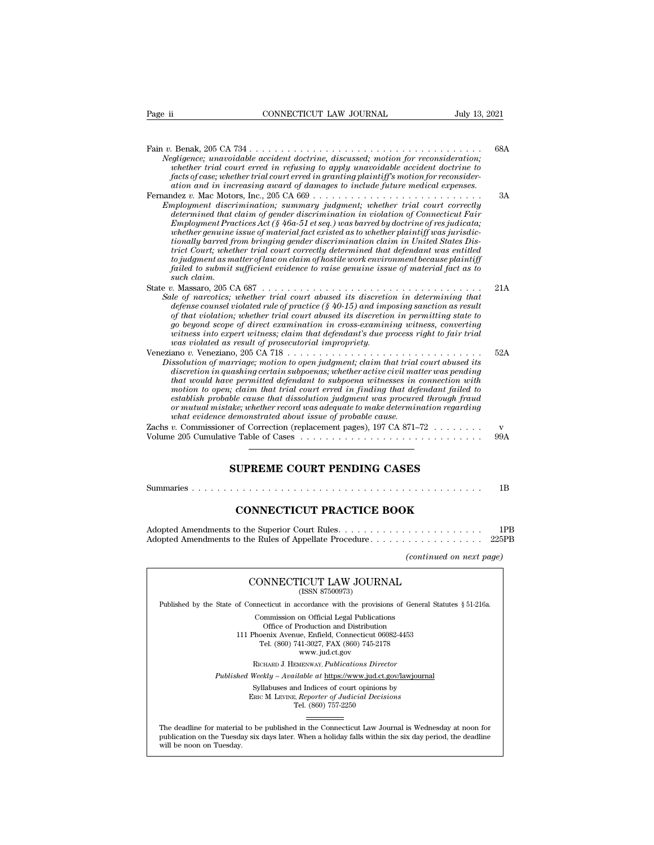| Page ii     | CONNECTICUT LAW JOURNAL                                                                                                                                                                                                                                                                                                                                                                                                                                                                                                                                                                                                                                                                              | July 13, 2021       |
|-------------|------------------------------------------------------------------------------------------------------------------------------------------------------------------------------------------------------------------------------------------------------------------------------------------------------------------------------------------------------------------------------------------------------------------------------------------------------------------------------------------------------------------------------------------------------------------------------------------------------------------------------------------------------------------------------------------------------|---------------------|
|             | Negligence; unavoidable accident doctrine, discussed; motion for reconsideration;<br>whether trial court erred in refusing to apply unavoidable accident doctrine to<br>facts of case; whether trial court erred in granting plaintiff's motion for reconsider-<br>ation and in increasing award of damages to include future medical expenses.                                                                                                                                                                                                                                                                                                                                                      | 68A                 |
| such claim. | Employment discrimination; summary judgment; whether trial court correctly<br>determined that claim of gender discrimination in violation of Connecticut Fair<br>$Emplogment\,Practices\,Act$ (§ 46a-51 et seq.) was barred by doctrine of resjudicata;<br>whether genuine issue of material fact existed as to whether plaintiff was jurisdic-<br>tionally barred from bringing gender discrimination claim in United States Dis-<br>trict Court; whether trial court correctly determined that defendant was entitled<br>to judgment as matter of law on claim of hostile work environment because plaintiff<br>failed to submit sufficient evidence to raise genuine issue of material fact as to | 3A                  |
|             | Sale of narcotics; whether trial court abused its discretion in determining that<br>defense counsel violated rule of practice $(\S$ 40-15) and imposing sanction as result<br>of that violation; whether trial court abused its discretion in permitting state to<br>go beyond scope of direct examination in cross-examining witness, converting<br>witness into expert witness; claim that defendant's due process right to fair trial<br>was violated as result of prosecutorial impropriety.                                                                                                                                                                                                     | 21A                 |
|             | Dissolution of marriage; motion to open judgment; claim that trial court abused its<br>discretion in quashing certain subpoenas; whether active civil matter was pending<br>that would have permitted defendant to subpoena witnesses in connection with<br>motion to open; claim that trial court erred in finding that defendant failed to<br>establish probable cause that dissolution judgment was procured through fraud<br>or mutual mistake; whether record was adequate to make determination regarding<br>what evidence demonstrated about issue of probable cause.                                                                                                                         | 52A                 |
|             | Zachs v. Commissioner of Correction (replacement pages), 197 CA 871-72 $\dots \dots$<br>Volume 205 Cumulative Table of Cases                                                                                                                                                                                                                                                                                                                                                                                                                                                                                                                                                                         | $\mathbf{v}$<br>99A |
|             | <b>SUPREME COURT PENDING CASES</b>                                                                                                                                                                                                                                                                                                                                                                                                                                                                                                                                                                                                                                                                   |                     |
|             |                                                                                                                                                                                                                                                                                                                                                                                                                                                                                                                                                                                                                                                                                                      | 1B                  |
|             | <b>CONNECTICUT PRACTICE BOOK</b>                                                                                                                                                                                                                                                                                                                                                                                                                                                                                                                                                                                                                                                                     |                     |
|             |                                                                                                                                                                                                                                                                                                                                                                                                                                                                                                                                                                                                                                                                                                      | 1PB                 |

|--|--|--|--|--|--|

| SUPREME COURT PENDING CASES      |     |
|----------------------------------|-----|
|                                  | 1B  |
| <b>CONNECTICUT PRACTICE BOOK</b> |     |
|                                  | 1PB |
| (continued on next page)         |     |
|                                  |     |

| (continued on next page)                                                                                                                                                                                                                 |
|------------------------------------------------------------------------------------------------------------------------------------------------------------------------------------------------------------------------------------------|
| CONNECTICUT LAW JOURNAL<br>(ISSN 87500973)                                                                                                                                                                                               |
| Published by the State of Connecticut in accordance with the provisions of General Statutes § 51-216a.                                                                                                                                   |
| Commission on Official Legal Publications<br>Office of Production and Distribution<br>111 Phoenix Avenue, Enfield, Connecticut 06082-4453<br>Tel. (860) 741-3027, FAX (860) 745-2178<br>www.jud.ct.gov                                   |
| RICHARD J. HEMENWAY, Publications Director                                                                                                                                                                                               |
| <i>Published Weekly – Available at https://www.jud.ct.gov/lawjournal</i>                                                                                                                                                                 |
| Syllabuses and Indices of court opinions by<br>ERIC M. LEVINE, Reporter of Judicial Decisions<br>Tel. (860) 757-2250                                                                                                                     |
|                                                                                                                                                                                                                                          |
| The deadline for material to be published in the Connecticut Law Journal is Wednesday at noon for<br>publication on the Tuesday six days later. When a holiday falls within the six day period, the deadline<br>will be noon on Tuesday. |